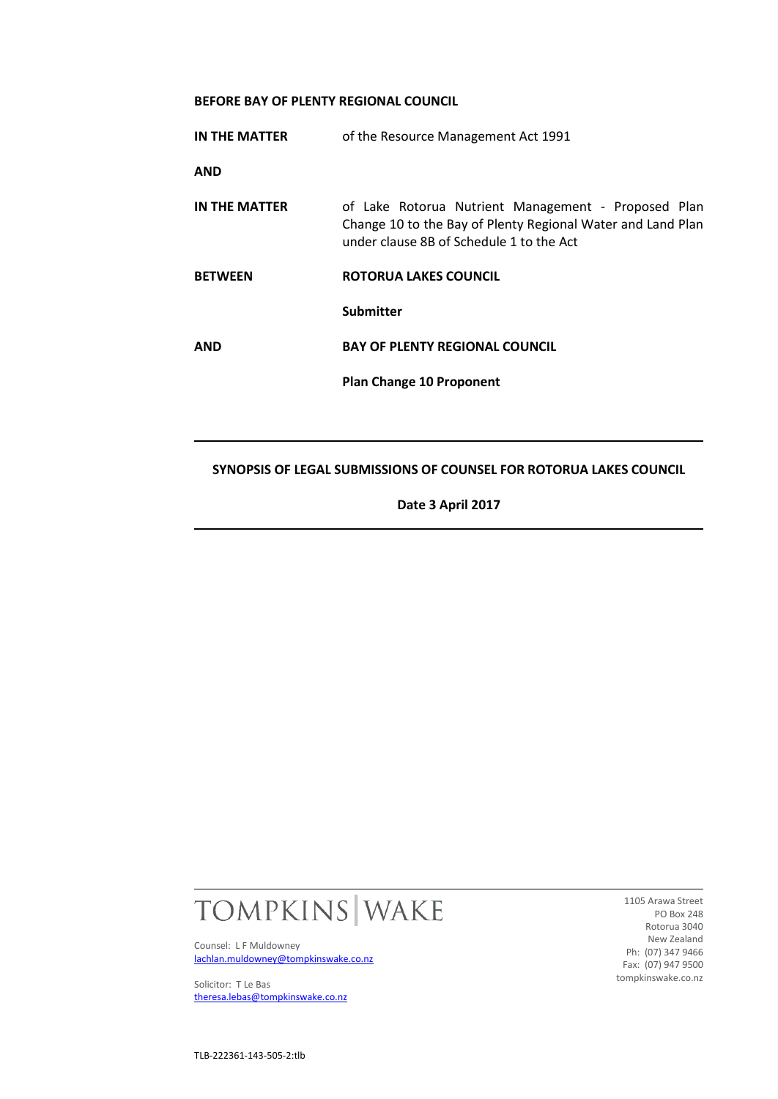### **BEFORE BAY OF PLENTY REGIONAL COUNCIL**

| IN THE MATTER  | of the Resource Management Act 1991                                                                                                                            |
|----------------|----------------------------------------------------------------------------------------------------------------------------------------------------------------|
| AND            |                                                                                                                                                                |
| IN THE MATTER  | of Lake Rotorua Nutrient Management - Proposed Plan<br>Change 10 to the Bay of Plenty Regional Water and Land Plan<br>under clause 8B of Schedule 1 to the Act |
| <b>BETWEEN</b> | ROTORUA LAKES COUNCIL                                                                                                                                          |
|                | <b>Submitter</b>                                                                                                                                               |
| AND            | <b>BAY OF PLENTY REGIONAL COUNCIL</b>                                                                                                                          |
|                | <b>Plan Change 10 Proponent</b>                                                                                                                                |
|                |                                                                                                                                                                |
|                |                                                                                                                                                                |

# **SYNOPSIS OF LEGAL SUBMISSIONS OF COUNSEL FOR ROTORUA LAKES COUNCIL**

**Date 3 April 2017**



Counsel: L F Muldowney [lachlan.muldowney@tompkinswake.co.nz](mailto:lachlan.muldowney@tompkinswake.co.nz)

Solicitor: T Le Bas [theresa.lebas@tompkinswake.co.nz](mailto:theresa.lebas@tompkinswake.co.nz)

1105 Arawa Street PO Box 248 Rotorua 3040 New Zealand Ph: (07) 347 9466 Fax: (07) 947 9500 tompkinswake.co.nz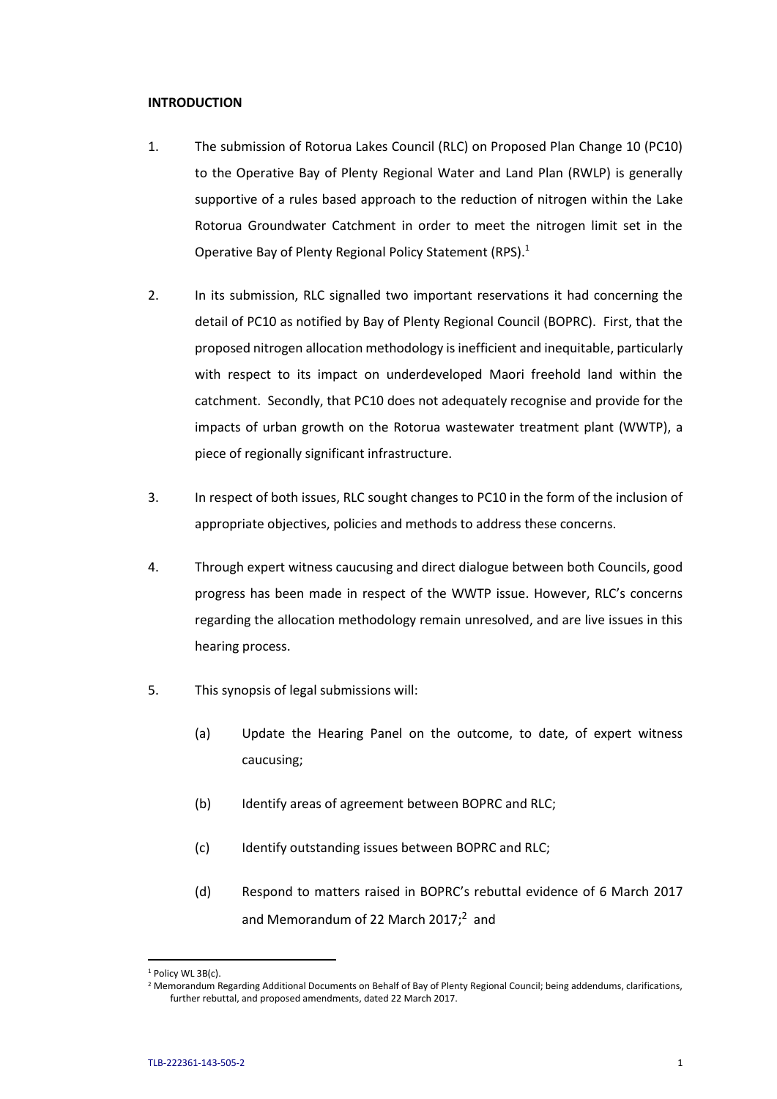### **INTRODUCTION**

- 1. The submission of Rotorua Lakes Council (RLC) on Proposed Plan Change 10 (PC10) to the Operative Bay of Plenty Regional Water and Land Plan (RWLP) is generally supportive of a rules based approach to the reduction of nitrogen within the Lake Rotorua Groundwater Catchment in order to meet the nitrogen limit set in the Operative Bay of Plenty Regional Policy Statement (RPS).<sup>1</sup>
- 2. In its submission, RLC signalled two important reservations it had concerning the detail of PC10 as notified by Bay of Plenty Regional Council (BOPRC). First, that the proposed nitrogen allocation methodology is inefficient and inequitable, particularly with respect to its impact on underdeveloped Maori freehold land within the catchment. Secondly, that PC10 does not adequately recognise and provide for the impacts of urban growth on the Rotorua wastewater treatment plant (WWTP), a piece of regionally significant infrastructure.
- 3. In respect of both issues, RLC sought changes to PC10 in the form of the inclusion of appropriate objectives, policies and methods to address these concerns.
- 4. Through expert witness caucusing and direct dialogue between both Councils, good progress has been made in respect of the WWTP issue. However, RLC's concerns regarding the allocation methodology remain unresolved, and are live issues in this hearing process.
- 5. This synopsis of legal submissions will:
	- (a) Update the Hearing Panel on the outcome, to date, of expert witness caucusing;
	- (b) Identify areas of agreement between BOPRC and RLC;
	- (c) Identify outstanding issues between BOPRC and RLC;
	- (d) Respond to matters raised in BOPRC's rebuttal evidence of 6 March 2017 and Memorandum of 22 March 2017;<sup>2</sup> and

<sup>&</sup>lt;sup>1</sup> Policy WL 3B(c).

<sup>&</sup>lt;sup>2</sup> Memorandum Regarding Additional Documents on Behalf of Bay of Plenty Regional Council; being addendums, clarifications, further rebuttal, and proposed amendments, dated 22 March 2017.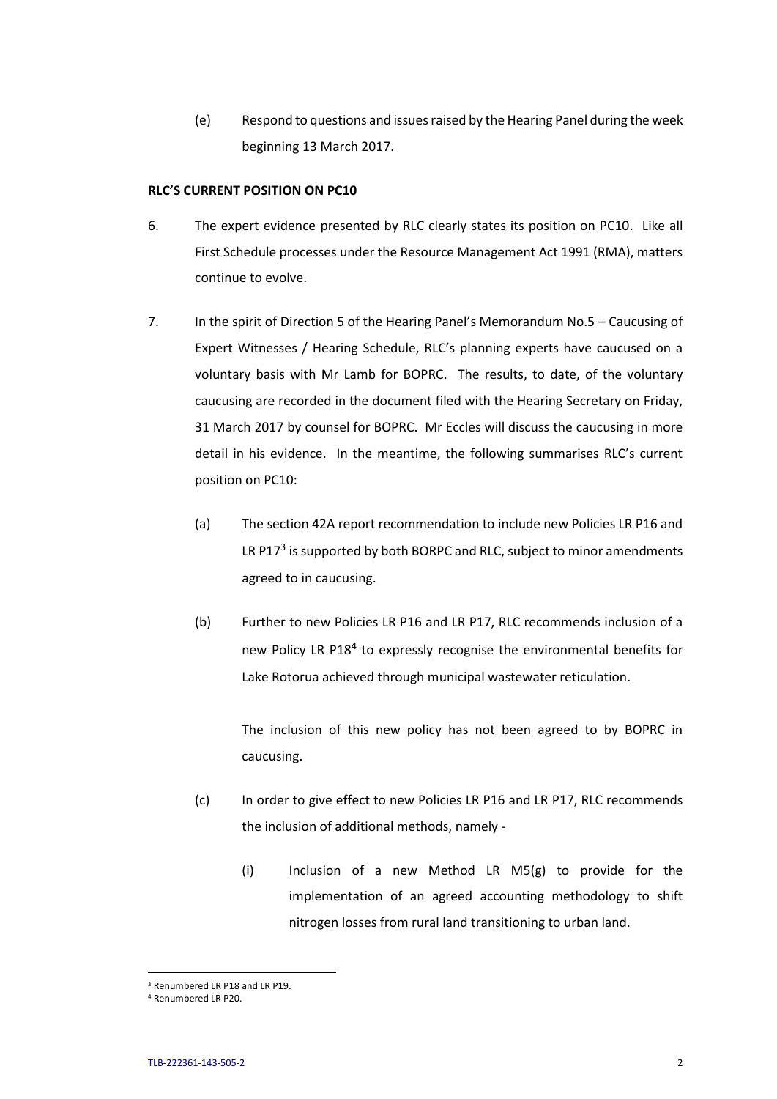(e) Respond to questions and issues raised by the Hearing Panel during the week beginning 13 March 2017.

### **RLC'S CURRENT POSITION ON PC10**

- 6. The expert evidence presented by RLC clearly states its position on PC10. Like all First Schedule processes under the Resource Management Act 1991 (RMA), matters continue to evolve.
- 7. In the spirit of Direction 5 of the Hearing Panel's Memorandum No.5 Caucusing of Expert Witnesses / Hearing Schedule, RLC's planning experts have caucused on a voluntary basis with Mr Lamb for BOPRC. The results, to date, of the voluntary caucusing are recorded in the document filed with the Hearing Secretary on Friday, 31 March 2017 by counsel for BOPRC. Mr Eccles will discuss the caucusing in more detail in his evidence. In the meantime, the following summarises RLC's current position on PC10:
	- (a) The section 42A report recommendation to include new Policies LR P16 and LR P17<sup>3</sup> is supported by both BORPC and RLC, subject to minor amendments agreed to in caucusing.
	- (b) Further to new Policies LR P16 and LR P17, RLC recommends inclusion of a new Policy LR P18<sup>4</sup> to expressly recognise the environmental benefits for Lake Rotorua achieved through municipal wastewater reticulation.

The inclusion of this new policy has not been agreed to by BOPRC in caucusing.

- (c) In order to give effect to new Policies LR P16 and LR P17, RLC recommends the inclusion of additional methods, namely -
	- (i) Inclusion of a new Method LR M5(g) to provide for the implementation of an agreed accounting methodology to shift nitrogen losses from rural land transitioning to urban land.

<sup>&</sup>lt;sup>3</sup> Renumbered LR P18 and LR P19.

<sup>4</sup> Renumbered LR P20.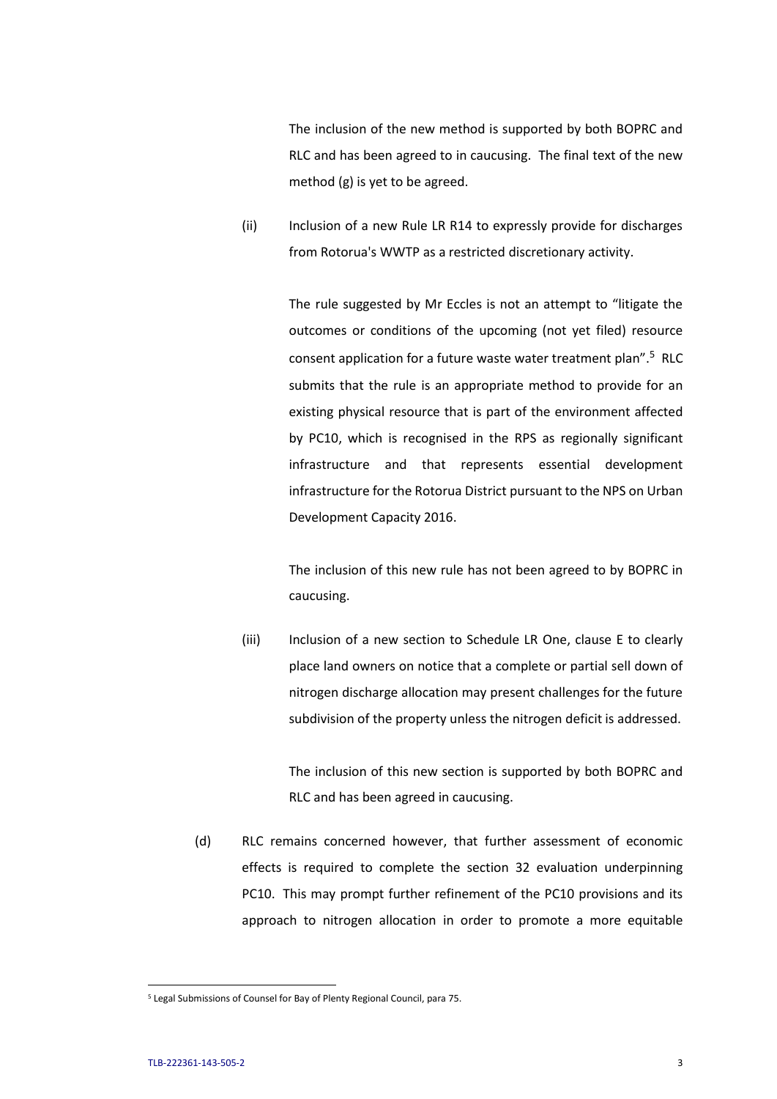The inclusion of the new method is supported by both BOPRC and RLC and has been agreed to in caucusing. The final text of the new method (g) is yet to be agreed.

(ii) Inclusion of a new Rule LR R14 to expressly provide for discharges from Rotorua's WWTP as a restricted discretionary activity.

> The rule suggested by Mr Eccles is not an attempt to "litigate the outcomes or conditions of the upcoming (not yet filed) resource consent application for a future waste water treatment plan".<sup>5</sup> RLC submits that the rule is an appropriate method to provide for an existing physical resource that is part of the environment affected by PC10, which is recognised in the RPS as regionally significant infrastructure and that represents essential development infrastructure for the Rotorua District pursuant to the NPS on Urban Development Capacity 2016.

> The inclusion of this new rule has not been agreed to by BOPRC in caucusing.

(iii) Inclusion of a new section to Schedule LR One, clause E to clearly place land owners on notice that a complete or partial sell down of nitrogen discharge allocation may present challenges for the future subdivision of the property unless the nitrogen deficit is addressed.

> The inclusion of this new section is supported by both BOPRC and RLC and has been agreed in caucusing.

(d) RLC remains concerned however, that further assessment of economic effects is required to complete the section 32 evaluation underpinning PC10. This may prompt further refinement of the PC10 provisions and its approach to nitrogen allocation in order to promote a more equitable

l

<sup>5</sup> Legal Submissions of Counsel for Bay of Plenty Regional Council, para 75.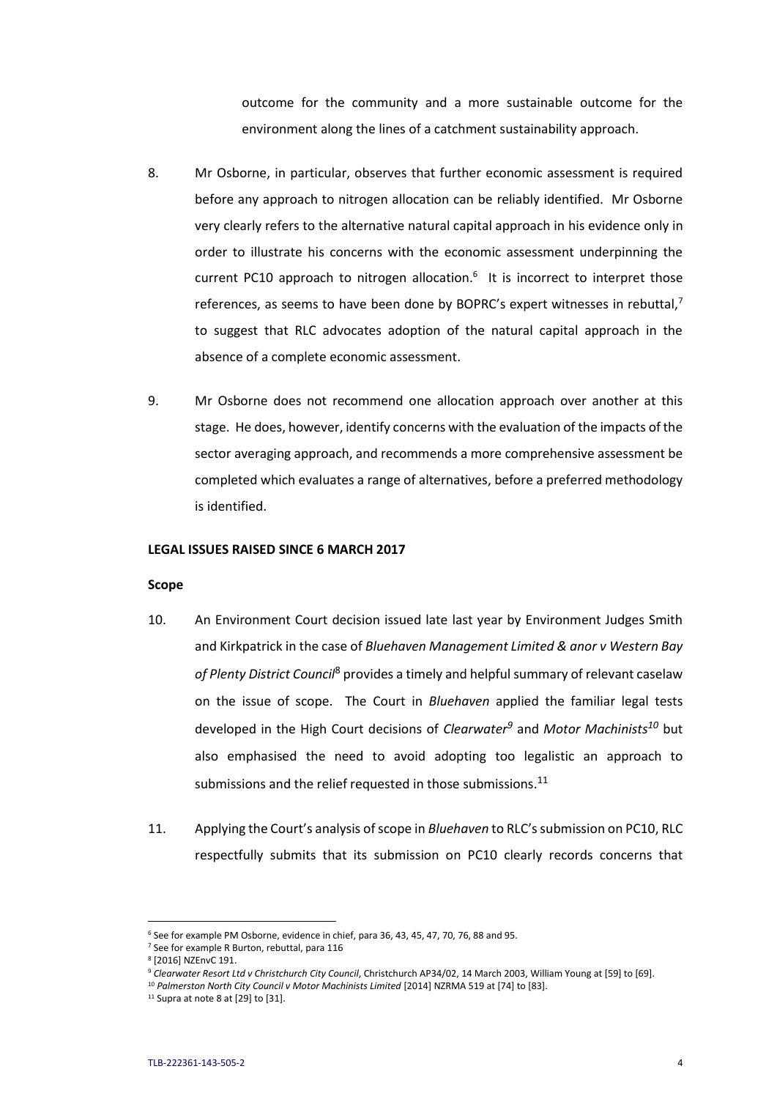outcome for the community and a more sustainable outcome for the environment along the lines of a catchment sustainability approach.

- 8. Mr Osborne, in particular, observes that further economic assessment is required before any approach to nitrogen allocation can be reliably identified. Mr Osborne very clearly refers to the alternative natural capital approach in his evidence only in order to illustrate his concerns with the economic assessment underpinning the current PC10 approach to nitrogen allocation. $6$  It is incorrect to interpret those references, as seems to have been done by BOPRC's expert witnesses in rebuttal, $<sup>7</sup>$ </sup> to suggest that RLC advocates adoption of the natural capital approach in the absence of a complete economic assessment.
- 9. Mr Osborne does not recommend one allocation approach over another at this stage. He does, however, identify concerns with the evaluation of the impacts of the sector averaging approach, and recommends a more comprehensive assessment be completed which evaluates a range of alternatives, before a preferred methodology is identified.

### **LEGAL ISSUES RAISED SINCE 6 MARCH 2017**

#### **Scope**

- 10. An Environment Court decision issued late last year by Environment Judges Smith and Kirkpatrick in the case of *Bluehaven Management Limited & anor v Western Bay of Plenty District Council*<sup>8</sup> provides a timely and helpful summary of relevant caselaw on the issue of scope. The Court in *Bluehaven* applied the familiar legal tests developed in the High Court decisions of *Clearwater<sup>9</sup>* and *Motor Machinists<sup>10</sup>* but also emphasised the need to avoid adopting too legalistic an approach to submissions and the relief requested in those submissions. $^{11}$
- 11. Applying the Court's analysis of scope in *Bluehaven* to RLC's submission on PC10, RLC respectfully submits that its submission on PC10 clearly records concerns that

<sup>&</sup>lt;sup>6</sup> See for example PM Osborne, evidence in chief, para 36, 43, 45, 47, 70, 76, 88 and 95.

<sup>7</sup> See for example R Burton, rebuttal, para 116

<sup>8</sup> [2016] NZEnvC 191.

<sup>9</sup> *Clearwater Resort Ltd v Christchurch City Council*, Christchurch AP34/02, 14 March 2003, William Young at [59] to [69].

<sup>&</sup>lt;sup>10</sup> Palmerston North City Council v Motor Machinists Limited [2014] NZRMA 519 at [74] to [83].

 $11$  Supra at note 8 at [29] to [31].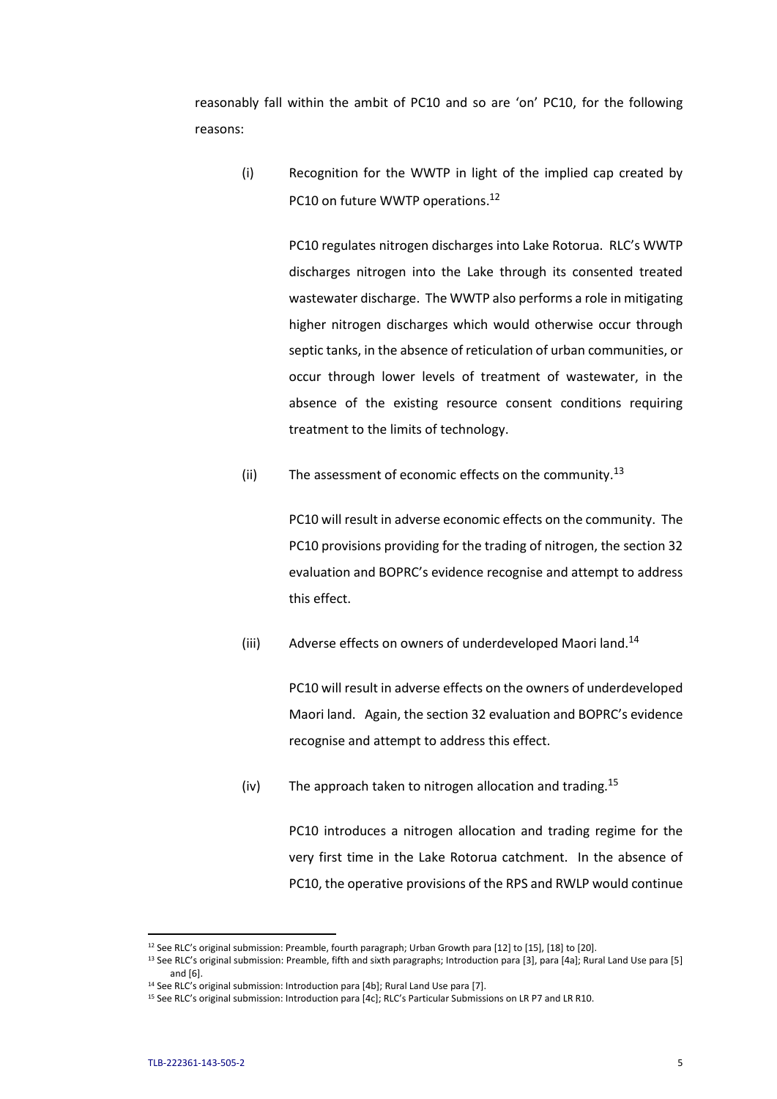reasonably fall within the ambit of PC10 and so are 'on' PC10, for the following reasons:

(i) Recognition for the WWTP in light of the implied cap created by PC10 on future WWTP operations.<sup>12</sup>

> PC10 regulates nitrogen discharges into Lake Rotorua. RLC's WWTP discharges nitrogen into the Lake through its consented treated wastewater discharge. The WWTP also performs a role in mitigating higher nitrogen discharges which would otherwise occur through septic tanks, in the absence of reticulation of urban communities, or occur through lower levels of treatment of wastewater, in the absence of the existing resource consent conditions requiring treatment to the limits of technology.

(ii) The assessment of economic effects on the community.<sup>13</sup>

PC10 will result in adverse economic effects on the community. The PC10 provisions providing for the trading of nitrogen, the section 32 evaluation and BOPRC's evidence recognise and attempt to address this effect.

(iii) Adverse effects on owners of underdeveloped Maori land.<sup>14</sup>

PC10 will result in adverse effects on the owners of underdeveloped Maori land. Again, the section 32 evaluation and BOPRC's evidence recognise and attempt to address this effect.

(iv) The approach taken to nitrogen allocation and trading.<sup>15</sup>

PC10 introduces a nitrogen allocation and trading regime for the very first time in the Lake Rotorua catchment. In the absence of PC10, the operative provisions of the RPS and RWLP would continue

 $\overline{\phantom{a}}$ 

<sup>&</sup>lt;sup>12</sup> See RLC's original submission: Preamble, fourth paragraph; Urban Growth para [12] to [15], [18] to [20].

<sup>&</sup>lt;sup>13</sup> See RLC's original submission: Preamble, fifth and sixth paragraphs; Introduction para [3], para [4a]; Rural Land Use para [5] and [6].

<sup>&</sup>lt;sup>14</sup> See RLC's original submission: Introduction para [4b]; Rural Land Use para [7].

<sup>15</sup> See RLC's original submission: Introduction para [4c]; RLC's Particular Submissions on LR P7 and LR R10.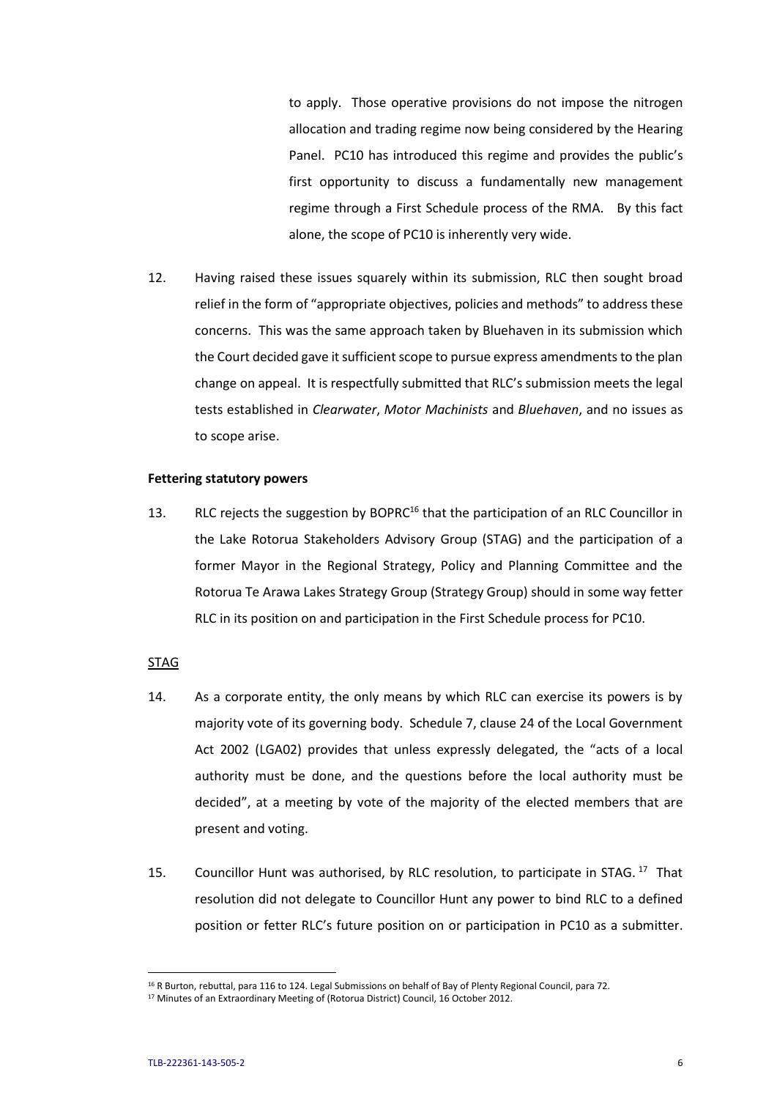to apply. Those operative provisions do not impose the nitrogen allocation and trading regime now being considered by the Hearing Panel. PC10 has introduced this regime and provides the public's first opportunity to discuss a fundamentally new management regime through a First Schedule process of the RMA. By this fact alone, the scope of PC10 is inherently very wide.

12. Having raised these issues squarely within its submission, RLC then sought broad relief in the form of "appropriate objectives, policies and methods" to address these concerns. This was the same approach taken by Bluehaven in its submission which the Court decided gave it sufficient scope to pursue express amendments to the plan change on appeal. It is respectfully submitted that RLC's submission meets the legal tests established in *Clearwater*, *Motor Machinists* and *Bluehaven*, and no issues as to scope arise.

### **Fettering statutory powers**

13. RLC rejects the suggestion by BOPRC<sup>16</sup> that the participation of an RLC Councillor in the Lake Rotorua Stakeholders Advisory Group (STAG) and the participation of a former Mayor in the Regional Strategy, Policy and Planning Committee and the Rotorua Te Arawa Lakes Strategy Group (Strategy Group) should in some way fetter RLC in its position on and participation in the First Schedule process for PC10.

### STAG

- 14. As a corporate entity, the only means by which RLC can exercise its powers is by majority vote of its governing body. Schedule 7, clause 24 of the Local Government Act 2002 (LGA02) provides that unless expressly delegated, the "acts of a local authority must be done, and the questions before the local authority must be decided", at a meeting by vote of the majority of the elected members that are present and voting.
- 15. Councillor Hunt was authorised, by RLC resolution, to participate in STAG.<sup>17</sup> That resolution did not delegate to Councillor Hunt any power to bind RLC to a defined position or fetter RLC's future position on or participation in PC10 as a submitter.

<sup>&</sup>lt;sup>16</sup> R Burton, rebuttal, para 116 to 124. Legal Submissions on behalf of Bay of Plenty Regional Council, para 72.

<sup>&</sup>lt;sup>17</sup> Minutes of an Extraordinary Meeting of (Rotorua District) Council, 16 October 2012.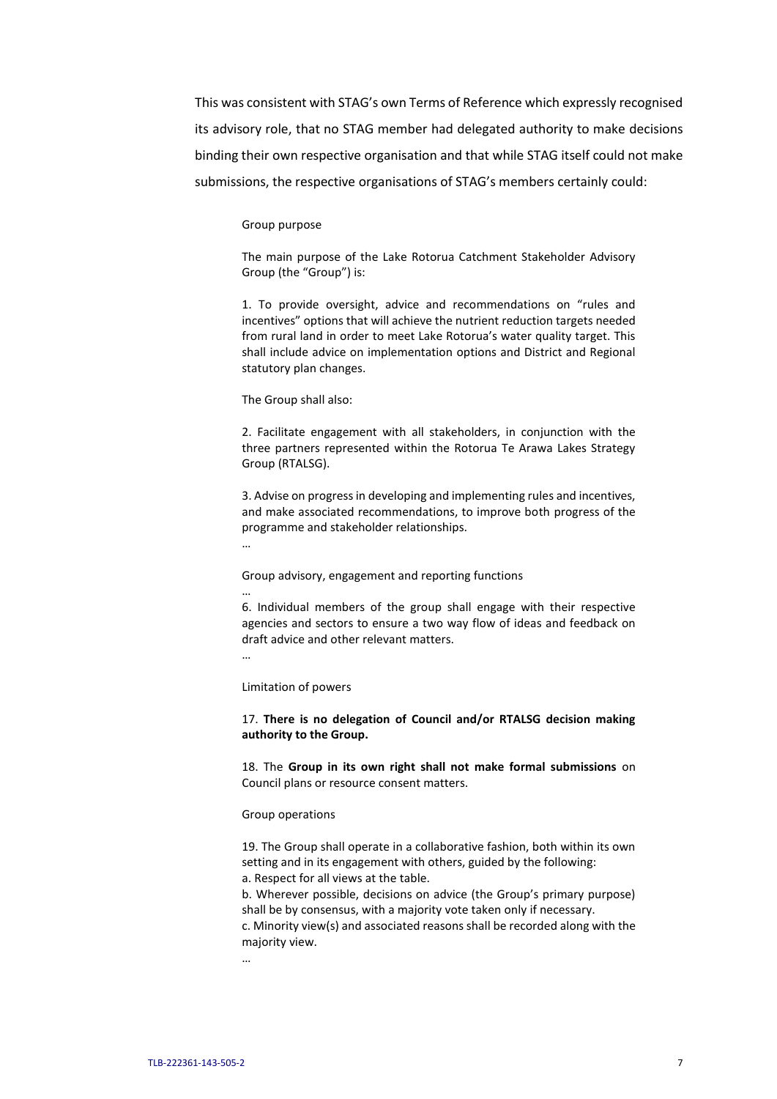This was consistent with STAG's own Terms of Reference which expressly recognised its advisory role, that no STAG member had delegated authority to make decisions binding their own respective organisation and that while STAG itself could not make submissions, the respective organisations of STAG's members certainly could:

#### Group purpose

The main purpose of the Lake Rotorua Catchment Stakeholder Advisory Group (the "Group") is:

1. To provide oversight, advice and recommendations on "rules and incentives" options that will achieve the nutrient reduction targets needed from rural land in order to meet Lake Rotorua's water quality target. This shall include advice on implementation options and District and Regional statutory plan changes.

The Group shall also:

2. Facilitate engagement with all stakeholders, in conjunction with the three partners represented within the Rotorua Te Arawa Lakes Strategy Group (RTALSG).

3. Advise on progress in developing and implementing rules and incentives, and make associated recommendations, to improve both progress of the programme and stakeholder relationships.

…

Group advisory, engagement and reporting functions

…

6. Individual members of the group shall engage with their respective agencies and sectors to ensure a two way flow of ideas and feedback on draft advice and other relevant matters.

…

Limitation of powers

17. **There is no delegation of Council and/or RTALSG decision making authority to the Group.**

18. The **Group in its own right shall not make formal submissions** on Council plans or resource consent matters.

#### Group operations

19. The Group shall operate in a collaborative fashion, both within its own setting and in its engagement with others, guided by the following:

a. Respect for all views at the table.

b. Wherever possible, decisions on advice (the Group's primary purpose) shall be by consensus, with a majority vote taken only if necessary.

c. Minority view(s) and associated reasons shall be recorded along with the majority view.

…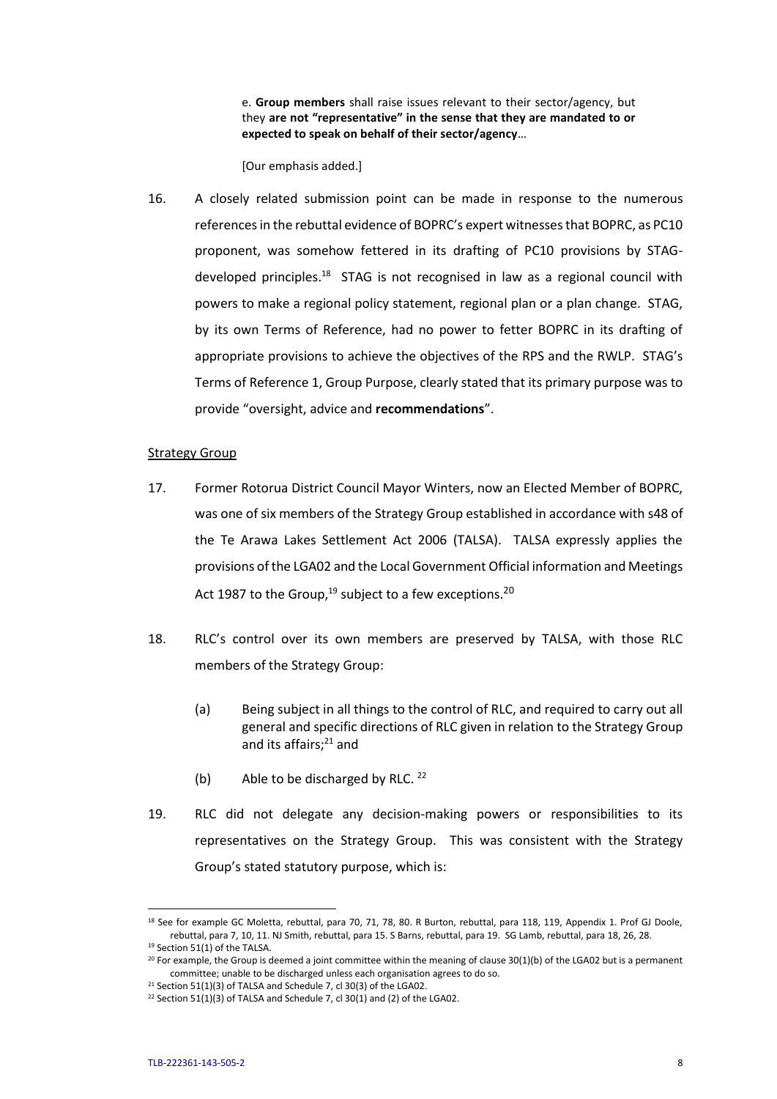e. **Group members** shall raise issues relevant to their sector/agency, but they **are not "representative" in the sense that they are mandated to or expected to speak on behalf of their sector/agency**…

[Our emphasis added.]

16. A closely related submission point can be made in response to the numerous references in the rebuttal evidence of BOPRC's expert witnesses that BOPRC, as PC10 proponent, was somehow fettered in its drafting of PC10 provisions by STAGdeveloped principles.<sup>18</sup> STAG is not recognised in law as a regional council with powers to make a regional policy statement, regional plan or a plan change. STAG, by its own Terms of Reference, had no power to fetter BOPRC in its drafting of appropriate provisions to achieve the objectives of the RPS and the RWLP. STAG's Terms of Reference 1, Group Purpose, clearly stated that its primary purpose was to provide "oversight, advice and **recommendations**".

### Strategy Group

- 17. Former Rotorua District Council Mayor Winters, now an Elected Member of BOPRC, was one of six members of the Strategy Group established in accordance with s48 of the Te Arawa Lakes Settlement Act 2006 (TALSA). TALSA expressly applies the provisions of the LGA02 and the Local Government Official information and Meetings Act 1987 to the Group,  $19$  subject to a few exceptions.  $20$
- 18. RLC's control over its own members are preserved by TALSA, with those RLC members of the Strategy Group:
	- (a) Being subject in all things to the control of RLC, and required to carry out all general and specific directions of RLC given in relation to the Strategy Group and its affairs;<sup>21</sup> and
	- (b) Able to be discharged by RLC.  $22$
- 19. RLC did not delegate any decision-making powers or responsibilities to its representatives on the Strategy Group. This was consistent with the Strategy Group's stated statutory purpose, which is:

 $\overline{\phantom{a}}$ 

<sup>&</sup>lt;sup>18</sup> See for example GC Moletta, rebuttal, para 70, 71, 78, 80. R Burton, rebuttal, para 118, 119, Appendix 1. Prof GJ Doole, rebuttal, para 7, 10, 11. NJ Smith, rebuttal, para 15. S Barns, rebuttal, para 19. SG Lamb, rebuttal, para 18, 26, 28. <sup>19</sup> Section 51(1) of the TALSA.

 $20$  For example, the Group is deemed a joint committee within the meaning of clause 30(1)(b) of the LGA02 but is a permanent committee; unable to be discharged unless each organisation agrees to do so.

<sup>&</sup>lt;sup>21</sup> Section 51(1)(3) of TALSA and Schedule 7, cl 30(3) of the LGA02.

<sup>&</sup>lt;sup>22</sup> Section 51(1)(3) of TALSA and Schedule 7, cl 30(1) and (2) of the LGA02.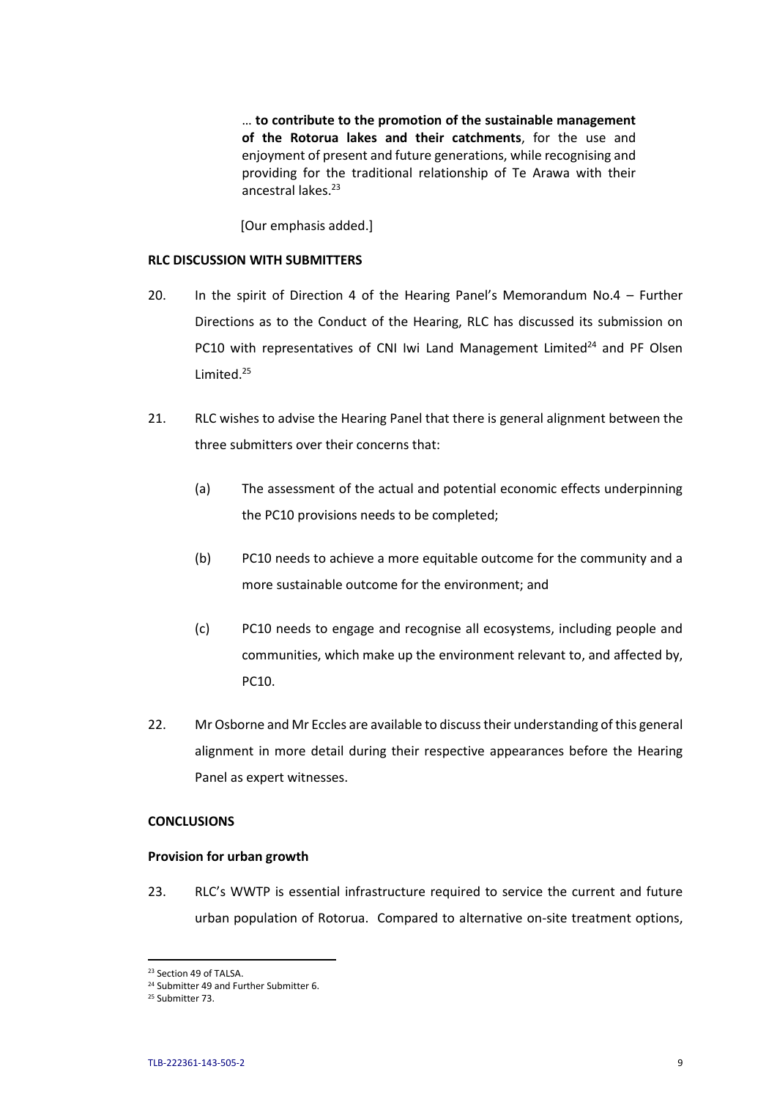… **to contribute to the promotion of the sustainable management of the Rotorua lakes and their catchments**, for the use and enjoyment of present and future generations, while recognising and providing for the traditional relationship of Te Arawa with their ancestral lakes.<sup>23</sup>

[Our emphasis added.]

### **RLC DISCUSSION WITH SUBMITTERS**

- 20. In the spirit of Direction 4 of the Hearing Panel's Memorandum No.4 Further Directions as to the Conduct of the Hearing, RLC has discussed its submission on PC10 with representatives of CNI Iwi Land Management Limited $^{24}$  and PF Olsen Limited.<sup>25</sup>
- 21. RLC wishes to advise the Hearing Panel that there is general alignment between the three submitters over their concerns that:
	- (a) The assessment of the actual and potential economic effects underpinning the PC10 provisions needs to be completed;
	- (b) PC10 needs to achieve a more equitable outcome for the community and a more sustainable outcome for the environment; and
	- (c) PC10 needs to engage and recognise all ecosystems, including people and communities, which make up the environment relevant to, and affected by, PC10.
- 22. Mr Osborne and Mr Eccles are available to discusstheir understanding of this general alignment in more detail during their respective appearances before the Hearing Panel as expert witnesses.

### **CONCLUSIONS**

### **Provision for urban growth**

23. RLC's WWTP is essential infrastructure required to service the current and future urban population of Rotorua. Compared to alternative on-site treatment options,

<sup>23</sup> Section 49 of TALSA.

<sup>&</sup>lt;sup>24</sup> Submitter 49 and Further Submitter 6.

<sup>25</sup> Submitter 73.